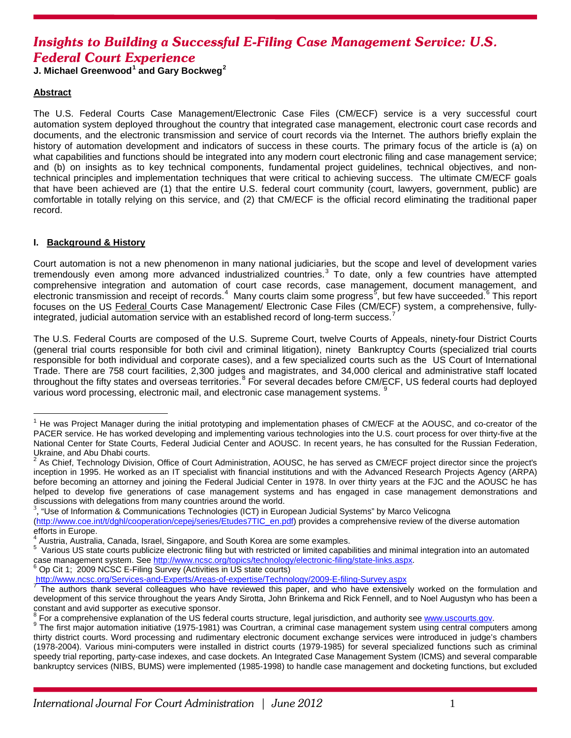# *Insights to Building a Successful E-Filing Case Management Service: U.S. Federal Court Experience*

**J. Michael Greenwood[1](#page-0-0) and Gary Bockweg[2](#page-0-1)**

# **Abstract**

The U.S. Federal Courts Case Management/Electronic Case Files (CM/ECF) service is a very successful court automation system deployed throughout the country that integrated case management, electronic court case records and documents, and the electronic transmission and service of court records via the Internet. The authors briefly explain the history of automation development and indicators of success in these courts. The primary focus of the article is (a) on what capabilities and functions should be integrated into any modern court electronic filing and case management service; and (b) on insights as to key technical components, fundamental project guidelines, technical objectives, and nontechnical principles and implementation techniques that were critical to achieving success. The ultimate CM/ECF goals that have been achieved are (1) that the entire U.S. federal court community (court, lawyers, government, public) are comfortable in totally relying on this service, and (2) that CM/ECF is the official record eliminating the traditional paper record.

# **I. Background & History**

Court automation is not a new phenomenon in many national judiciaries, but the scope and level of development varies tremendously even among more advanced industrialized countries. $3$  To date, only a few countries have attempted comprehensive integration and automation of court case records, case management, document management, and electronic transmission and receipt of records.<sup>[4](#page-0-3)</sup> Many courts claim some progress<sup>[5](#page-0-4)</sup>, but few have succeeded.<sup>[6](#page-0-5)</sup> This report focuses on the US Federal Courts Case Management/ Electronic Case Files (CM/ECF) system, a comprehensive, fullyintegrated, judicial automation service with an established record of long-term success.

The U.S. Federal Courts are composed of the U.S. Supreme Court, twelve Courts of Appeals, ninety-four District Courts (general trial courts responsible for both civil and criminal litigation), ninety Bankruptcy Courts (specialized trial courts responsible for both individual and corporate cases), and a few specialized courts such as the US Court of International Trade. There are 758 court facilities, 2,300 judges and magistrates, and 34,000 clerical and administrative staff located throughout the fifty states and overseas territories.<sup>[8](#page-0-7)</sup> For several decades before CM/ECF, US federal courts had deployed various word processing, electronic mail, and electronic case management systems. [9](#page-0-8)

<span id="page-0-2"></span> $3$ , "Use of Information & Communications Technologies (ICT) in European Judicial Systems" by Marco Velicogna

<span id="page-0-6"></span><span id="page-0-5"></span>

<span id="page-0-0"></span><sup>&</sup>lt;sup>1</sup> He was Project Manager during the initial prototyping and implementation phases of CM/ECF at the AOUSC, and co-creator of the PACER service. He has worked developing and implementing various technologies into the U.S. court process for over thirty-five at the National Center for State Courts, Federal Judicial Center and AOUSC. In recent years, he has consulted for the Russian Federation, Ukraine, and Abu Dhabi courts.

<span id="page-0-1"></span><sup>&</sup>lt;sup>2</sup> As Chief, Technology Division, Office of Court Administration, AOUSC, he has served as CM/ECF project director since the project's inception in 1995. He worked as an IT specialist with financial institutions and with the Advanced Research Projects Agency (ARPA) before becoming an attorney and joining the Federal Judicial Center in 1978. In over thirty years at the FJC and the AOUSC he has helped to develop five generations of case management systems and has engaged in case management demonstrations and discussions with delegations from many countries around the world. <sup>3</sup>

[<sup>\(</sup>http://www.coe.int/t/dghl/cooperation/cepej/series/Etudes7TIC\\_en.pdf\)](http://www.coe.int/t/dghl/cooperation/cepej/series/Etudes7TIC_en.pdf) provides a comprehensive review of the diverse automation efforts in Europe.

<sup>4</sup> Austria, Australia, Canada, Israel, Singapore, and South Korea are some examples. <sup>5</sup>

<span id="page-0-4"></span><span id="page-0-3"></span>Various US state courts publicize electronic filing but with restricted or limited capabilities and minimal integration into an automated case management system. Se[e http://www.ncsc.org/topics/technology/electronic-filing/state-links.aspx.](http://www.ncsc.org/topics/technology/electronic-filing/state-links.aspx) <sup>6</sup> Op Cit 1; 2009 NCSC E-Filing Survey (Activities in US state courts)

<http://www.ncsc.org/Services-and-Experts/Areas-of-expertise/Technology/2009-E-filing-Survey.aspx> <sup>7</sup> The authors thank several colleagues who have reviewed this paper, and who have extensively worked on the formulation and development of this service throughout the years Andy Sirotta, John Brinkema and Rick Fennell, and to Noel Augustyn who has been a

<span id="page-0-7"></span>constant and avid supporter as executive sponsor.<br>
<sup>8</sup> For a comprehensive explanation of the US federal courts structure, legal jurisdiction, and authority see www.uscourts.gov.

<span id="page-0-8"></span><sup>&</sup>lt;sup>9</sup> The first major automation initiative (1975-1981) was Courtran, a criminal case management system using central computers among thirty district courts. Word processing and rudimentary electronic document exchange services were introduced in judge's chambers (1978-2004). Various mini-computers were installed in district courts (1979-1985) for several specialized functions such as criminal speedy trial reporting, party-case indexes, and case dockets. An Integrated Case Management System (ICMS) and several comparable bankruptcy services (NIBS, BUMS) were implemented (1985-1998) to handle case management and docketing functions, but excluded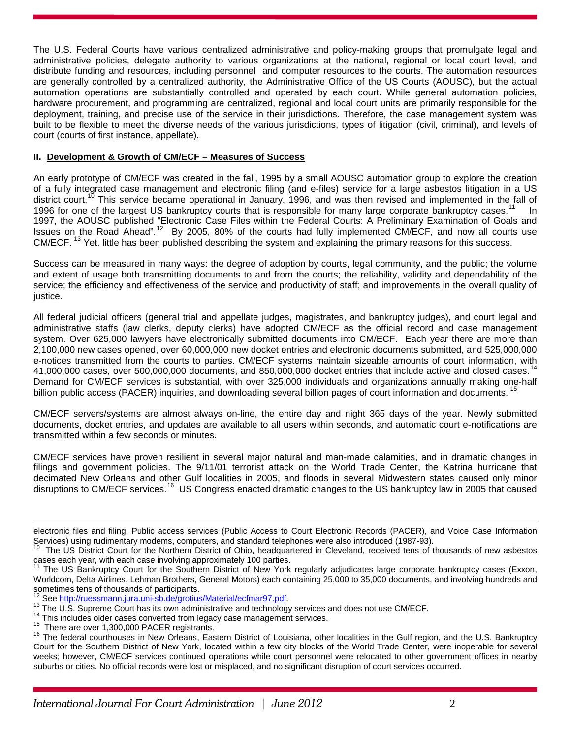The U.S. Federal Courts have various centralized administrative and policy-making groups that promulgate legal and administrative policies, delegate authority to various organizations at the national, regional or local court level, and distribute funding and resources, including personnel and computer resources to the courts. The automation resources are generally controlled by a centralized authority, the Administrative Office of the US Courts (AOUSC), but the actual automation operations are substantially controlled and operated by each court. While general automation policies, hardware procurement, and programming are centralized, regional and local court units are primarily responsible for the deployment, training, and precise use of the service in their jurisdictions. Therefore, the case management system was built to be flexible to meet the diverse needs of the various jurisdictions, types of litigation (civil, criminal), and levels of court (courts of first instance, appellate).

#### **II. Development & Growth of CM/ECF – Measures of Success**

An early prototype of CM/ECF was created in the fall, 1995 by a small AOUSC automation group to explore the creation of a fully integrated case management and electronic filing (and e-files) service for a large asbestos litigation in a US district court.<sup>[10](#page-1-0)</sup> This service became operational in January, 1996, and was then revised and implemented in the fall of 1996 for one of the largest US bankruptcy courts that is responsible for many large corporate bankruptcy cases.<sup>11</sup> In 1997, the AOUSC published "Electronic Case Files within the Federal Courts: A Preliminary Examination of Goals and Issues on the Road Ahead".<sup>[12](#page-1-2)</sup> By 2005, 80% of the courts had fully implemented CM/ECF, and now all courts use CM/ECF. <sup>[13](#page-1-3)</sup> Yet, little has been published describing the system and explaining the primary reasons for this success.

Success can be measured in many ways: the degree of adoption by courts, legal community, and the public; the volume and extent of usage both transmitting documents to and from the courts; the reliability, validity and dependability of the service; the efficiency and effectiveness of the service and productivity of staff; and improvements in the overall quality of justice.

All federal judicial officers (general trial and appellate judges, magistrates, and bankruptcy judges), and court legal and administrative staffs (law clerks, deputy clerks) have adopted CM/ECF as the official record and case management system. Over 625,000 lawyers have electronically submitted documents into CM/ECF. Each year there are more than 2,100,000 new cases opened, over 60,000,000 new docket entries and electronic documents submitted, and 525,000,000 e-notices transmitted from the courts to parties. CM/ECF systems maintain sizeable amounts of court information, with 41,000,000 cases, over 500,000,000 documents, and 850,000,000 docket entries that include active and closed cases.<sup>[14](#page-1-4)</sup> Demand for CM/ECF services is substantial, with over 325,000 individuals and organizations annually making one-half billion public access (PACER) inquiries, and downloading several billion pages of court information and documents. <sup>15</sup>

CM/ECF servers/systems are almost always on-line, the entire day and night 365 days of the year. Newly submitted documents, docket entries, and updates are available to all users within seconds, and automatic court e-notifications are transmitted within a few seconds or minutes.

CM/ECF services have proven resilient in several major natural and man-made calamities, and in dramatic changes in filings and government policies. The 9/11/01 terrorist attack on the World Trade Center, the Katrina hurricane that decimated New Orleans and other Gulf localities in 2005, and floods in several Midwestern states caused only minor disruptions to CM/ECF services.<sup>[16](#page-1-6)</sup> US Congress enacted dramatic changes to the US bankruptcy law in 2005 that caused

<span id="page-1-6"></span><span id="page-1-5"></span>

 $\overline{a}$ 

electronic files and filing. Public access services (Public Access to Court Electronic Records (PACER), and Voice Case Information Services) using rudimentary modems, computers, and standard telephones were also introduced (1987-93).

<span id="page-1-0"></span><sup>&</sup>lt;sup>10</sup> The US District Court for the Northern District of Ohio, headquartered in Cleveland, received tens of thousands of new asbestos cases each year, with each case involving approximately 100 parties.

<span id="page-1-1"></span>The US Bankruptcy Court for the Southern District of New York regularly adjudicates large corporate bankruptcy cases (Exxon, Worldcom, Delta Airlines, Lehman Brothers, General Motors) each containing 25,000 to 35,000 documents, and involving hundreds and sometimes tens of thousands of participants.<br>
<sup>12</sup><sub>43</sub> See http://ruessmann.jura.uni-sb.de/grotius/Material/ecfmar97.pdf.

<span id="page-1-4"></span>

<span id="page-1-3"></span><span id="page-1-2"></span><sup>&</sup>lt;sup>13</sup> The U.S. Supreme Court has its own administrative and technology services and does not use CM/ECF.<br><sup>14</sup> This includes older cases converted from legacy case management services.<br><sup>15</sup> There are over 1,300,000 PACER reg Court for the Southern District of New York, located within a few city blocks of the World Trade Center, were inoperable for several weeks; however, CM/ECF services continued operations while court personnel were relocated to other government offices in nearby suburbs or cities. No official records were lost or misplaced, and no significant disruption of court services occurred.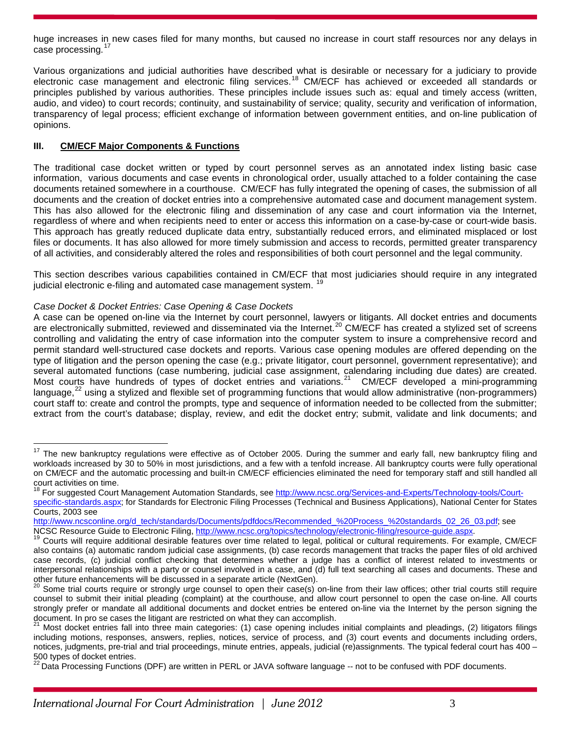huge increases in new cases filed for many months, but caused no increase in court staff resources nor any delays in case processing.<sup>[17](#page-2-0)</sup>

Various organizations and judicial authorities have described what is desirable or necessary for a judiciary to provide electronic case management and electronic filing services.<sup>[18](#page-2-1)</sup> CM/ECF has achieved or exceeded all standards or principles published by various authorities. These principles include issues such as: equal and timely access (written, audio, and video) to court records; continuity, and sustainability of service; quality, security and verification of information, transparency of legal process; efficient exchange of information between government entities, and on-line publication of opinions.

# **III. CM/ECF Major Components & Functions**

The traditional case docket written or typed by court personnel serves as an annotated index listing basic case information, various documents and case events in chronological order, usually attached to a folder containing the case documents retained somewhere in a courthouse. CM/ECF has fully integrated the opening of cases, the submission of all documents and the creation of docket entries into a comprehensive automated case and document management system. This has also allowed for the electronic filing and dissemination of any case and court information via the Internet, regardless of where and when recipients need to enter or access this information on a case-by-case or court-wide basis. This approach has greatly reduced duplicate data entry, substantially reduced errors, and eliminated misplaced or lost files or documents. It has also allowed for more timely submission and access to records, permitted greater transparency of all activities, and considerably altered the roles and responsibilities of both court personnel and the legal community.

This section describes various capabilities contained in CM/ECF that most judiciaries should require in any integrated judicial electronic e-filing and automated case management system.

# *Case Docket & Docket Entries: Case Opening & Case Dockets*

A case can be opened on-line via the Internet by court personnel, lawyers or litigants. All docket entries and documents are electronically submitted, reviewed and disseminated via the Internet.<sup>[20](#page-2-3)</sup> CM/ECF has created a stylized set of screens controlling and validating the entry of case information into the computer system to insure a comprehensive record and permit standard well-structured case dockets and reports. Various case opening modules are offered depending on the type of litigation and the person opening the case (e.g.; private litigator, court personnel, government representative); and several automated functions (case numbering, judicial case assignment, calendaring including due dates) are created. Most courts have hundreds of types of docket entries and variations.<sup>[21](#page-2-4)</sup> CM/ECF developed a mini-programming language, $^{22}$  $^{22}$  $^{22}$  using a stylized and flexible set of programming functions that would allow administrative (non-programmers) court staff to: create and control the prompts, type and sequence of information needed to be collected from the submitter; extract from the court's database; display, review, and edit the docket entry; submit, validate and link documents; and

<span id="page-2-0"></span><sup>&</sup>lt;sup>17</sup> The new bankruptcy regulations were effective as of October 2005. During the summer and early fall, new bankruptcy filing and workloads increased by 30 to 50% in most jurisdictions, and a few with a tenfold increase. All bankruptcy courts were fully operational on CM/ECF and the automatic processing and built-in CM/ECF efficiencies eliminated the need for temporary staff and still handled all court activities on time.

<span id="page-2-1"></span><sup>&</sup>lt;sub>18</sub> For suggested Court Management Automation Standards, see [http://www.ncsc.org/Services-and-Experts/Technology-tools/Court](http://www.ncsc.org/Services-and-Experts/Technology-tools/Court-specific-standards.aspx)[specific-standards.aspx;](http://www.ncsc.org/Services-and-Experts/Technology-tools/Court-specific-standards.aspx) for Standards for Electronic Filing Processes (Technical and Business Applications), National Center for States Courts, 2003 see

[http://www.ncsconline.org/d\\_tech/standards/Documents/pdfdocs/Recommended\\_%20Process\\_%20standards\\_02\\_26\\_03.pdf;](http://www.ncsconline.org/d_tech/standards/Documents/pdfdocs/Recommended_%20Process_%20standards_02_26_03.pdf) see<br>NCSC Resource Guide to Electronic Filing, http://www.ncsc.org/topics/technology/electronic-filing/resource-

<span id="page-2-2"></span><sup>&</sup>lt;sup>19</sup> Courts will require additional desirable features over time related to legal, political or cultural requirements. For example, CM/ECF also contains (a) automatic random judicial case assignments, (b) case records management that tracks the paper files of old archived case records, (c) judicial conflict checking that determines whether a judge has a conflict of interest related to investments or interpersonal relationships with a party or counsel involved in a case, and (d) full text searching all cases and documents. These and other future enhancements will be discussed in a separate article (NextGen).

<span id="page-2-3"></span>Some trial courts require or strongly urge counsel to open their case(s) on-line from their law offices; other trial courts still require counsel to submit their initial pleading (complaint) at the courthouse, and allow court personnel to open the case on-line. All courts strongly prefer or mandate all additional documents and docket entries be entered on-line via the Internet by the person signing the document. In pro se cases the litigant are restricted on what they can accomplish.

<span id="page-2-4"></span>Most docket entries fall into three main categories: (1) case opening includes initial complaints and pleadings, (2) litigators filings including motions, responses, answers, replies, notices, service of process, and (3) court events and documents including orders, notices, judgments, pre-trial and trial proceedings, minute entries, appeals, judicial (re)assignments. The typical federal court has 400 –  $500$  types of docket entries.

<span id="page-2-5"></span>Data Processing Functions (DPF) are written in PERL or JAVA software language -- not to be confused with PDF documents.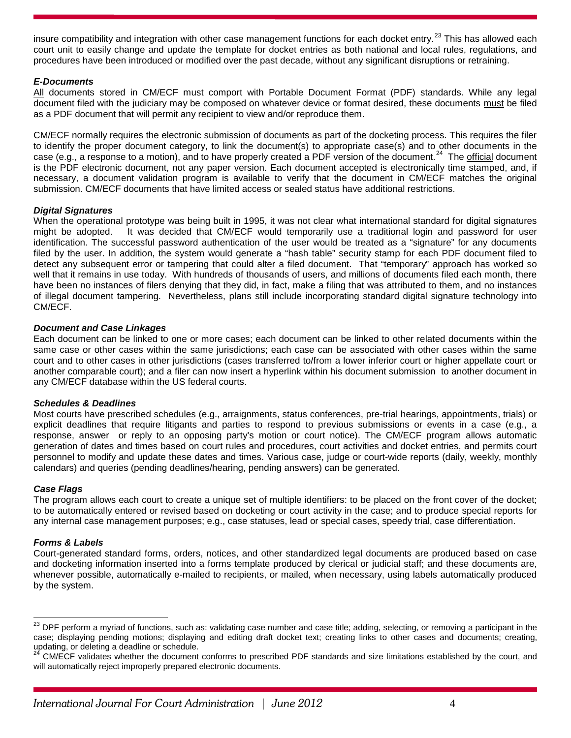insure compatibility and integration with other case management functions for each docket entry.<sup>[23](#page-3-0)</sup> This has allowed each court unit to easily change and update the template for docket entries as both national and local rules, regulations, and procedures have been introduced or modified over the past decade, without any significant disruptions or retraining.

# *E-Documents*

All documents stored in CM/ECF must comport with Portable Document Format (PDF) standards. While any legal document filed with the judiciary may be composed on whatever device or format desired, these documents must be filed as a PDF document that will permit any recipient to view and/or reproduce them.

CM/ECF normally requires the electronic submission of documents as part of the docketing process. This requires the filer to identify the proper document category, to link the document(s) to appropriate case(s) and to other documents in the case (e.g., a response to a motion), and to have properly created a PDF version of the document.<sup>[24](#page-3-1)</sup> The official document is the PDF electronic document, not any paper version. Each document accepted is electronically time stamped, and, if necessary, a document validation program is available to verify that the document in CM/ECF matches the original submission. CM/ECF documents that have limited access or sealed status have additional restrictions.

# *Digital Signatures*

When the operational prototype was being built in 1995, it was not clear what international standard for digital signatures might be adopted. It was decided that CM/ECF would temporarily use a traditional login and password for user identification. The successful password authentication of the user would be treated as a "signature" for any documents filed by the user. In addition, the system would generate a "hash table" security stamp for each PDF document filed to detect any subsequent error or tampering that could alter a filed document. That "temporary" approach has worked so well that it remains in use today. With hundreds of thousands of users, and millions of documents filed each month, there have been no instances of filers denying that they did, in fact, make a filing that was attributed to them, and no instances of illegal document tampering. Nevertheless, plans still include incorporating standard digital signature technology into CM/ECF.

# *Document and Case Linkages*

Each document can be linked to one or more cases; each document can be linked to other related documents within the same case or other cases within the same jurisdictions; each case can be associated with other cases within the same court and to other cases in other jurisdictions (cases transferred to/from a lower inferior court or higher appellate court or another comparable court); and a filer can now insert a hyperlink within his document submission to another document in any CM/ECF database within the US federal courts.

#### *Schedules & Deadlines*

Most courts have prescribed schedules (e.g., arraignments, status conferences, pre-trial hearings, appointments, trials) or explicit deadlines that require litigants and parties to respond to previous submissions or events in a case (e.g., a response, answer or reply to an opposing party's motion or court notice). The CM/ECF program allows automatic generation of dates and times based on court rules and procedures, court activities and docket entries, and permits court personnel to modify and update these dates and times. Various case, judge or court-wide reports (daily, weekly, monthly calendars) and queries (pending deadlines/hearing, pending answers) can be generated.

#### *Case Flags*

The program allows each court to create a unique set of multiple identifiers: to be placed on the front cover of the docket; to be automatically entered or revised based on docketing or court activity in the case; and to produce special reports for any internal case management purposes; e.g., case statuses, lead or special cases, speedy trial, case differentiation.

#### *Forms & Labels*

Court-generated standard forms, orders, notices, and other standardized legal documents are produced based on case and docketing information inserted into a forms template produced by clerical or judicial staff; and these documents are, whenever possible, automatically e-mailed to recipients, or mailed, when necessary, using labels automatically produced by the system.

<span id="page-3-0"></span><sup>&</sup>lt;sup>23</sup> DPF perform a myriad of functions, such as: validating case number and case title; adding, selecting, or removing a participant in the case; displaying pending motions; displaying and editing draft docket text; creating links to other cases and documents; creating, updating, or deleting a deadline or schedule.

<span id="page-3-1"></span><sup>24</sup> CM/ECF validates whether the document conforms to prescribed PDF standards and size limitations established by the court, and will automatically reject improperly prepared electronic documents.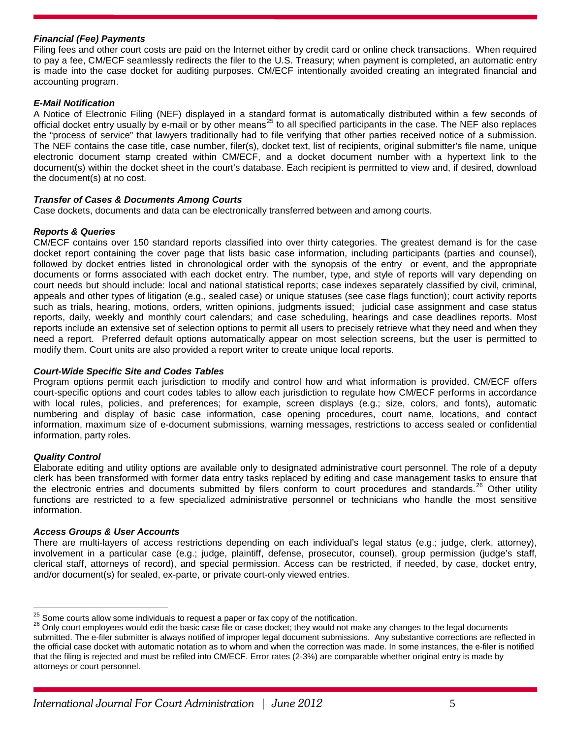# *Financial (Fee) Payments*

Filing fees and other court costs are paid on the Internet either by credit card or online check transactions. When required to pay a fee, CM/ECF seamlessly redirects the filer to the U.S. Treasury; when payment is completed, an automatic entry is made into the case docket for auditing purposes. CM/ECF intentionally avoided creating an integrated financial and accounting program.

# *E-Mail Notification*

A Notice of Electronic Filing (NEF) displayed in a standard format is automatically distributed within a few seconds of official docket entry usually by e-mail or by other means<sup>[25](#page-4-0)</sup> to all specified participants in the case. The NEF also replaces the "process of service" that lawyers traditionally had to file verifying that other parties received notice of a submission. The NEF contains the case title, case number, filer(s), docket text, list of recipients, original submitter's file name, unique electronic document stamp created within CM/ECF, and a docket document number with a hypertext link to the document(s) within the docket sheet in the court's database. Each recipient is permitted to view and, if desired, download the document(s) at no cost.

# *Transfer of Cases & Documents Among Courts*

Case dockets, documents and data can be electronically transferred between and among courts.

# *Reports & Queries*

CM/ECF contains over 150 standard reports classified into over thirty categories. The greatest demand is for the case docket report containing the cover page that lists basic case information, including participants (parties and counsel), followed by docket entries listed in chronological order with the synopsis of the entry or event, and the appropriate documents or forms associated with each docket entry. The number, type, and style of reports will vary depending on court needs but should include: local and national statistical reports; case indexes separately classified by civil, criminal, appeals and other types of litigation (e.g., sealed case) or unique statuses (see case flags function); court activity reports such as trials, hearing, motions, orders, written opinions, judgments issued; judicial case assignment and case status reports, daily, weekly and monthly court calendars; and case scheduling, hearings and case deadlines reports. Most reports include an extensive set of selection options to permit all users to precisely retrieve what they need and when they need a report. Preferred default options automatically appear on most selection screens, but the user is permitted to modify them. Court units are also provided a report writer to create unique local reports.

#### *Court-Wide Specific Site and Codes Tables*

Program options permit each jurisdiction to modify and control how and what information is provided. CM/ECF offers court-specific options and court codes tables to allow each jurisdiction to regulate how CM/ECF performs in accordance with local rules, policies, and preferences; for example, screen displays (e.g.; size, colors, and fonts), automatic numbering and display of basic case information, case opening procedures, court name, locations, and contact information, maximum size of e-document submissions, warning messages, restrictions to access sealed or confidential information, party roles.

# *Quality Control*

Elaborate editing and utility options are available only to designated administrative court personnel. The role of a deputy clerk has been transformed with former data entry tasks replaced by editing and case management tasks to ensure that the electronic entries and documents submitted by filers conform to court procedures and standards.<sup>[26](#page-4-1)</sup> Other utility functions are restricted to a few specialized administrative personnel or technicians who handle the most sensitive information.

#### *Access Groups & User Accounts*

There are multi-layers of access restrictions depending on each individual's legal status (e.g.; judge, clerk, attorney), involvement in a particular case (e.g.; judge, plaintiff, defense, prosecutor, counsel), group permission (judge's staff, clerical staff, attorneys of record), and special permission. Access can be restricted, if needed, by case, docket entry, and/or document(s) for sealed, ex-parte, or private court-only viewed entries.

<span id="page-4-1"></span>

<span id="page-4-0"></span><sup>&</sup>lt;sup>25</sup> Some courts allow some individuals to request a paper or fax copy of the notification.<br><sup>26</sup> Only court employees would edit the basic case file or case docket; they would not make any changes to the legal documents submitted. The e-filer submitter is always notified of improper legal document submissions. Any substantive corrections are reflected in the official case docket with automatic notation as to whom and when the correction was made. In some instances, the e-filer is notified that the filing is rejected and must be refiled into CM/ECF. Error rates (2-3%) are comparable whether original entry is made by attorneys or court personnel.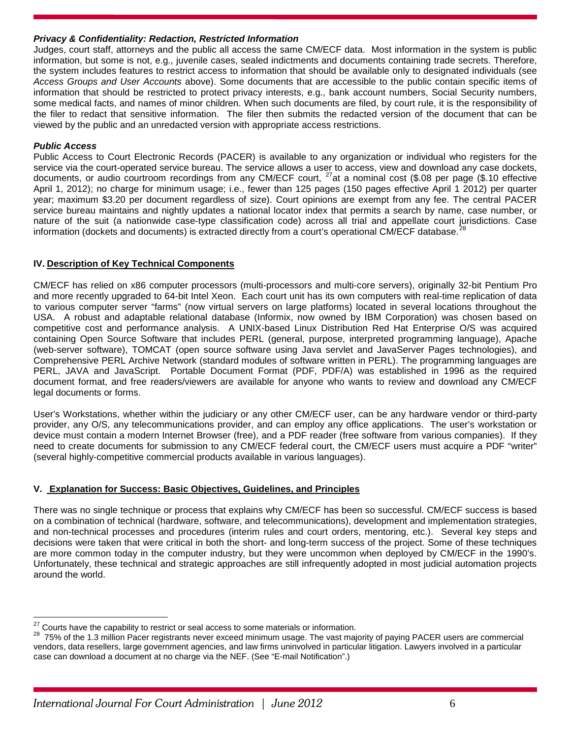# *Privacy & Confidentiality: Redaction, Restricted Information*

Judges, court staff, attorneys and the public all access the same CM/ECF data. Most information in the system is public information, but some is not, e.g., juvenile cases, sealed indictments and documents containing trade secrets. Therefore, the system includes features to restrict access to information that should be available only to designated individuals (see *Access Groups and User Accounts* above). Some documents that are accessible to the public contain specific items of information that should be restricted to protect privacy interests, e.g., bank account numbers, Social Security numbers, some medical facts, and names of minor children. When such documents are filed, by court rule, it is the responsibility of the filer to redact that sensitive information. The filer then submits the redacted version of the document that can be viewed by the public and an unredacted version with appropriate access restrictions.

# *Public Access*

Public Access to Court Electronic Records (PACER) is available to any organization or individual who registers for the service via the court-operated service bureau. The service allows a user to access, view and download any case dockets, documents, or audio courtroom recordings from any CM/ECF court, [27a](#page-5-0)t a nominal cost (\$.08 per page (\$.10 effective April 1, 2012); no charge for minimum usage; i.e., fewer than 125 pages (150 pages effective April 1 2012) per quarter year; maximum \$3.20 per document regardless of size). Court opinions are exempt from any fee. The central PACER service bureau maintains and nightly updates a national locator index that permits a search by name, case number, or nature of the suit (a nationwide case-type classification code) across all trial and appellate court jurisdictions. Case information (dockets and documents) is extracted directly from a court's operational CM/ECF database.

# **IV. Description of Key Technical Components**

CM/ECF has relied on x86 computer processors (multi-processors and multi-core servers), originally 32-bit Pentium Pro and more recently upgraded to 64-bit Intel Xeon. Each court unit has its own computers with real-time replication of data to various computer server "farms" (now virtual servers on large platforms) located in several locations throughout the USA. A robust and adaptable relational database (Informix, now owned by IBM Corporation) was chosen based on competitive cost and performance analysis. A UNIX-based Linux Distribution Red Hat Enterprise O/S was acquired containing Open Source Software that includes PERL (general, purpose, interpreted programming language), Apache (web-server software), TOMCAT (open source software using Java servlet and JavaServer Pages technologies), and Comprehensive PERL Archive Network (standard modules of software written in PERL). The programming languages are PERL, JAVA and JavaScript. Portable Document Format (PDF, PDF/A) was established in 1996 as the required document format, and free readers/viewers are available for anyone who wants to review and download any CM/ECF legal documents or forms.

User's Workstations, whether within the judiciary or any other CM/ECF user, can be any hardware vendor or third-party provider, any O/S, any telecommunications provider, and can employ any office applications. The user's workstation or device must contain a modern Internet Browser (free), and a PDF reader (free software from various companies). If they need to create documents for submission to any CM/ECF federal court, the CM/ECF users must acquire a PDF "writer" (several highly-competitive commercial products available in various languages).

# **V. Explanation for Success: Basic Objectives, Guidelines, and Principles**

There was no single technique or process that explains why CM/ECF has been so successful. CM/ECF success is based on a combination of technical (hardware, software, and telecommunications), development and implementation strategies, and non-technical processes and procedures (interim rules and court orders, mentoring, etc.). Several key steps and decisions were taken that were critical in both the short- and long-term success of the project. Some of these techniques are more common today in the computer industry, but they were uncommon when deployed by CM/ECF in the 1990's. Unfortunately, these technical and strategic approaches are still infrequently adopted in most judicial automation projects around the world.

<span id="page-5-1"></span><span id="page-5-0"></span><sup>&</sup>lt;sup>27</sup> Courts have the capability to restrict or seal access to some materials or information.<br><sup>28</sup> 75% of the 1.3 million Pacer registrants never exceed minimum usage. The vast majority of paying PACER users are commercial vendors, data resellers, large government agencies, and law firms uninvolved in particular litigation. Lawyers involved in a particular case can download a document at no charge via the NEF. (See "E-mail Notification".)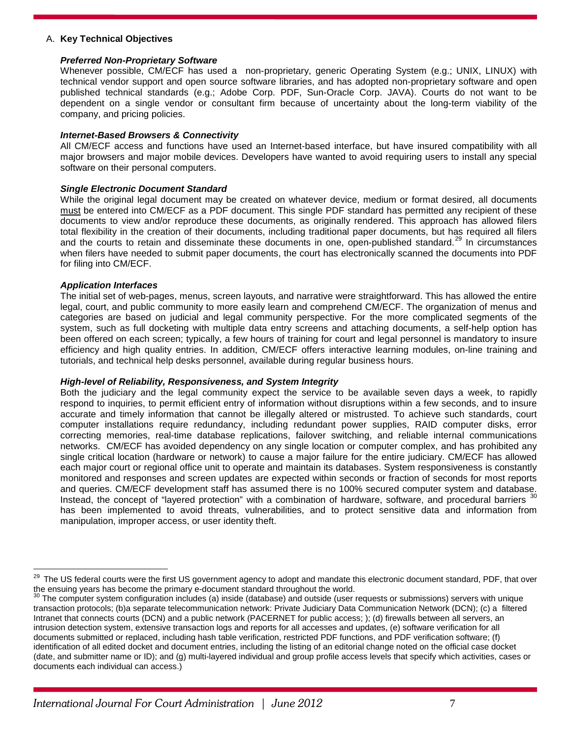#### A. **Key Technical Objectives**

#### *Preferred Non-Proprietary Software*

Whenever possible, CM/ECF has used a non-proprietary, generic Operating System (e.g.; UNIX, LINUX) with technical vendor support and open source software libraries, and has adopted non-proprietary software and open published technical standards (e.g.; Adobe Corp. PDF, Sun-Oracle Corp. JAVA). Courts do not want to be dependent on a single vendor or consultant firm because of uncertainty about the long-term viability of the company, and pricing policies.

#### *Internet-Based Browsers & Connectivity*

All CM/ECF access and functions have used an Internet-based interface, but have insured compatibility with all major browsers and major mobile devices. Developers have wanted to avoid requiring users to install any special software on their personal computers.

#### *Single Electronic Document Standard*

While the original legal document may be created on whatever device, medium or format desired, all documents must be entered into CM/ECF as a PDF document. This single PDF standard has permitted any recipient of these documents to view and/or reproduce these documents, as originally rendered. This approach has allowed filers total flexibility in the creation of their documents, including traditional paper documents, but has required all filers and the courts to retain and disseminate these documents in one, open-published standard.<sup>[29](#page-6-0)</sup> In circumstances when filers have needed to submit paper documents, the court has electronically scanned the documents into PDF for filing into CM/ECF.

#### *Application Interfaces*

The initial set of web-pages, menus, screen layouts, and narrative were straightforward. This has allowed the entire legal, court, and public community to more easily learn and comprehend CM/ECF. The organization of menus and categories are based on judicial and legal community perspective. For the more complicated segments of the system, such as full docketing with multiple data entry screens and attaching documents, a self-help option has been offered on each screen; typically, a few hours of training for court and legal personnel is mandatory to insure efficiency and high quality entries. In addition, CM/ECF offers interactive learning modules, on-line training and tutorials, and technical help desks personnel, available during regular business hours.

#### *High-level of Reliability, Responsiveness, and System Integrity*

Both the judiciary and the legal community expect the service to be available seven days a week, to rapidly respond to inquiries, to permit efficient entry of information without disruptions within a few seconds, and to insure accurate and timely information that cannot be illegally altered or mistrusted. To achieve such standards, court computer installations require redundancy, including redundant power supplies, RAID computer disks, error correcting memories, real-time database replications, failover switching, and reliable internal communications networks. CM/ECF has avoided dependency on any single location or computer complex, and has prohibited any single critical location (hardware or network) to cause a major failure for the entire judiciary. CM/ECF has allowed each major court or regional office unit to operate and maintain its databases. System responsiveness is constantly monitored and responses and screen updates are expected within seconds or fraction of seconds for most reports and queries. CM/ECF development staff has assumed there is no 100% secured computer system and database. Instead, the concept of "layered protection" with a combination of hardware, software, and procedural barriers <sup>[30](#page-6-1)</sup> has been implemented to avoid threats, vulnerabilities, and to protect sensitive data and information from manipulation, improper access, or user identity theft.

<span id="page-6-0"></span><sup>&</sup>lt;sup>29</sup> The US federal courts were the first US government agency to adopt and mandate this electronic document standard, PDF, that over the ensuing years has become the primary e-document standard throughout the world.<br><sup>30</sup> The computer system configuration includes (a) inside (database) and outside (user requests or submissions) servers with unique in the

<span id="page-6-1"></span>transaction protocols; (b)a separate telecommunication network: Private Judiciary Data Communication Network (DCN); (c) a filtered Intranet that connects courts (DCN) and a public network (PACERNET for public access; ); (d) firewalls between all servers, an intrusion detection system, extensive transaction logs and reports for all accesses and updates, (e) software verification for all documents submitted or replaced, including hash table verification, restricted PDF functions, and PDF verification software; (f) identification of all edited docket and document entries, including the listing of an editorial change noted on the official case docket (date, and submitter name or ID); and (g) multi-layered individual and group profile access levels that specify which activities, cases or documents each individual can access.)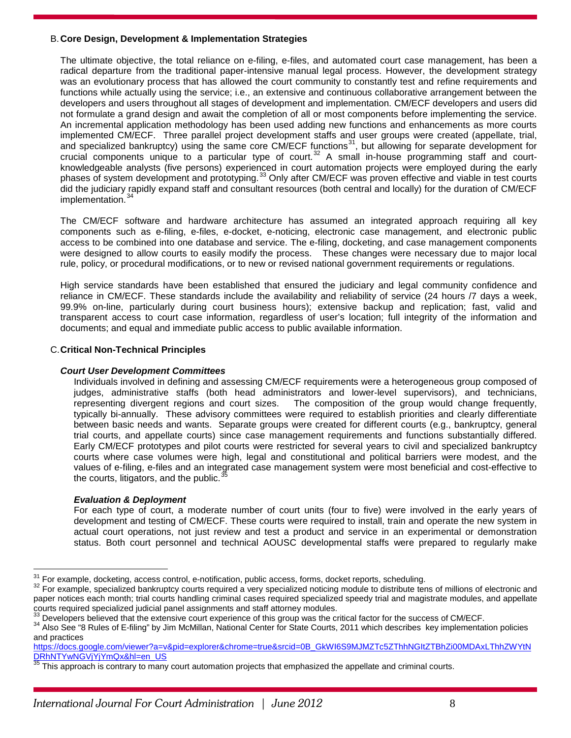#### B.**Core Design, Development & Implementation Strategies**

The ultimate objective, the total reliance on e-filing, e-files, and automated court case management, has been a radical departure from the traditional paper-intensive manual legal process. However, the development strategy was an evolutionary process that has allowed the court community to constantly test and refine requirements and functions while actually using the service; i.e., an extensive and continuous collaborative arrangement between the developers and users throughout all stages of development and implementation. CM/ECF developers and users did not formulate a grand design and await the completion of all or most components before implementing the service. An incremental application methodology has been used adding new functions and enhancements as more courts implemented CM/ECF. Three parallel project development staffs and user groups were created (appellate, trial, and specialized bankruptcy) using the same core CM/ECF functions<sup>[31](#page-7-0)</sup>, but allowing for separate development for crucial components unique to a particular type of court.<sup>[32](#page-7-1)</sup> A small in-house programming staff and courtknowledgeable analysts (five persons) experienced in court automation projects were employed during the early phases of system development and prototyping.[33](#page-7-2) Only after CM/ECF was proven effective and viable in test courts did the judiciary rapidly expand staff and consultant resources (both central and locally) for the duration of CM/ECF implementation.<sup>[34](#page-7-3)</sup>

The CM/ECF software and hardware architecture has assumed an integrated approach requiring all key components such as e-filing, e-files, e-docket, e-noticing, electronic case management, and electronic public access to be combined into one database and service. The e-filing, docketing, and case management components were designed to allow courts to easily modify the process. These changes were necessary due to major local rule, policy, or procedural modifications, or to new or revised national government requirements or regulations.

High service standards have been established that ensured the judiciary and legal community confidence and reliance in CM/ECF. These standards include the availability and reliability of service (24 hours /7 days a week, 99.9% on-line, particularly during court business hours); extensive backup and replication; fast, valid and transparent access to court case information, regardless of user's location; full integrity of the information and documents; and equal and immediate public access to public available information.

# C.**Critical Non-Technical Principles**

#### *Court User Development Committees*

Individuals involved in defining and assessing CM/ECF requirements were a heterogeneous group composed of judges, administrative staffs (both head administrators and lower-level supervisors), and technicians, representing divergent regions and court sizes. The composition of the group would change frequently, typically bi-annually. These advisory committees were required to establish priorities and clearly differentiate between basic needs and wants. Separate groups were created for different courts (e.g., bankruptcy, general trial courts, and appellate courts) since case management requirements and functions substantially differed. Early CM/ECF prototypes and pilot courts were restricted for several years to civil and specialized bankruptcy courts where case volumes were high, legal and constitutional and political barriers were modest, and the values of e-filing, e-files and an integrated case management system were most beneficial and cost-effective to the courts, litigators, and the public. $\dot{3}$ 

# *Evaluation & Deployment*

For each type of court, a moderate number of court units (four to five) were involved in the early years of development and testing of CM/ECF. These courts were required to install, train and operate the new system in actual court operations, not just review and test a product and service in an experimental or demonstration status. Both court personnel and technical AOUSC developmental staffs were prepared to regularly make

<span id="page-7-1"></span><span id="page-7-0"></span><sup>&</sup>lt;sup>31</sup> For example, docketing, access control, e-notification, public access, forms, docket reports, scheduling.<br><sup>32</sup> For example, specialized bankruptcy courts required a very specialized noticing module to distribute tens paper notices each month; trial courts handling criminal cases required specialized speedy trial and magistrate modules, and appellate courts required specialized judicial panel assignments and staff attorney modules.<br><sup>33</sup> Developers believed that the extensive court experience of this group was the critical factor for the success of CM/ECF.

<span id="page-7-3"></span><span id="page-7-2"></span><sup>&</sup>lt;sup>34</sup> Also See "8 Rules of E-filing" by Jim McMillan, National Center for State Courts, 2011 which describes key implementation policies and practices

[https://docs.google.com/viewer?a=v&pid=explorer&chrome=true&srcid=0B\\_GkWI6S9MJMZTc5ZThhNGItZTBhZi00MDAxLThhZWYtN](http://www.ncsc.org/Services-and-Experts/Technology-tools/Court-specific-standards.aspx) [DRhNTYwNGVjYjYmQx&hl=en\\_US](http://www.ncsc.org/Services-and-Experts/Technology-tools/Court-specific-standards.aspx)

<span id="page-7-4"></span>This approach is contrary to many court automation projects that emphasized the appellate and criminal courts.